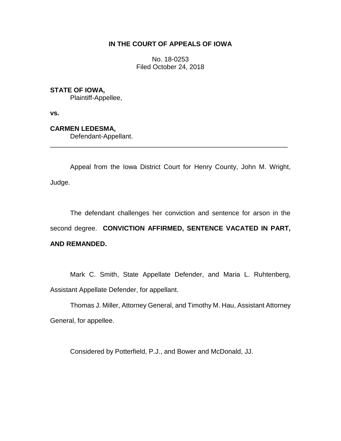## **IN THE COURT OF APPEALS OF IOWA**

No. 18-0253 Filed October 24, 2018

## **STATE OF IOWA,**

Plaintiff-Appellee,

**vs.**

## **CARMEN LEDESMA,**

Defendant-Appellant.

Appeal from the Iowa District Court for Henry County, John M. Wright, Judge.

\_\_\_\_\_\_\_\_\_\_\_\_\_\_\_\_\_\_\_\_\_\_\_\_\_\_\_\_\_\_\_\_\_\_\_\_\_\_\_\_\_\_\_\_\_\_\_\_\_\_\_\_\_\_\_\_\_\_\_\_\_\_\_\_

The defendant challenges her conviction and sentence for arson in the second degree. **CONVICTION AFFIRMED, SENTENCE VACATED IN PART, AND REMANDED.**

Mark C. Smith, State Appellate Defender, and Maria L. Ruhtenberg, Assistant Appellate Defender, for appellant.

Thomas J. Miller, Attorney General, and Timothy M. Hau, Assistant Attorney General, for appellee.

Considered by Potterfield, P.J., and Bower and McDonald, JJ.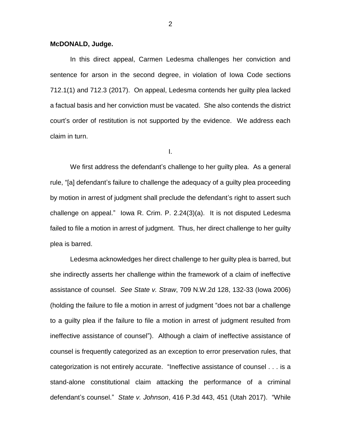## **McDONALD, Judge.**

In this direct appeal, Carmen Ledesma challenges her conviction and sentence for arson in the second degree, in violation of Iowa Code sections 712.1(1) and 712.3 (2017). On appeal, Ledesma contends her guilty plea lacked a factual basis and her conviction must be vacated. She also contends the district court's order of restitution is not supported by the evidence. We address each claim in turn.

I.

We first address the defendant's challenge to her guilty plea. As a general rule, "[a] defendant's failure to challenge the adequacy of a guilty plea proceeding by motion in arrest of judgment shall preclude the defendant's right to assert such challenge on appeal." Iowa R. Crim. P. 2.24(3)(a). It is not disputed Ledesma failed to file a motion in arrest of judgment. Thus, her direct challenge to her guilty plea is barred.

Ledesma acknowledges her direct challenge to her guilty plea is barred, but she indirectly asserts her challenge within the framework of a claim of ineffective assistance of counsel. *See State v. Straw*, 709 N.W.2d 128, 132-33 (Iowa 2006) (holding the failure to file a motion in arrest of judgment "does not bar a challenge to a guilty plea if the failure to file a motion in arrest of judgment resulted from ineffective assistance of counsel"). Although a claim of ineffective assistance of counsel is frequently categorized as an exception to error preservation rules, that categorization is not entirely accurate. "Ineffective assistance of counsel . . . is a stand-alone constitutional claim attacking the performance of a criminal defendant's counsel." *State v. Johnson*, 416 P.3d 443, 451 (Utah 2017). "While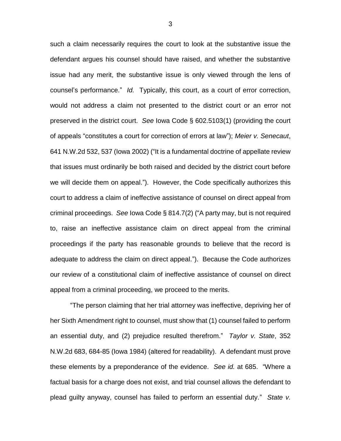such a claim necessarily requires the court to look at the substantive issue the defendant argues his counsel should have raised, and whether the substantive issue had any merit, the substantive issue is only viewed through the lens of counsel's performance." *Id.* Typically, this court, as a court of error correction, would not address a claim not presented to the district court or an error not preserved in the district court. *See* Iowa Code § 602.5103(1) (providing the court of appeals "constitutes a court for correction of errors at law"); *Meier v. Senecaut*, 641 N.W.2d 532, 537 (Iowa 2002) ("It is a fundamental doctrine of appellate review that issues must ordinarily be both raised and decided by the district court before we will decide them on appeal."). However, the Code specifically authorizes this court to address a claim of ineffective assistance of counsel on direct appeal from criminal proceedings. *See* Iowa Code § 814.7(2) ("A party may, but is not required to, raise an ineffective assistance claim on direct appeal from the criminal proceedings if the party has reasonable grounds to believe that the record is adequate to address the claim on direct appeal."). Because the Code authorizes our review of a constitutional claim of ineffective assistance of counsel on direct appeal from a criminal proceeding, we proceed to the merits.

"The person claiming that her trial attorney was ineffective, depriving her of her Sixth Amendment right to counsel, must show that (1) counsel failed to perform an essential duty, and (2) prejudice resulted therefrom." *Taylor v. State*, 352 N.W.2d 683, 684-85 (Iowa 1984) (altered for readability). A defendant must prove these elements by a preponderance of the evidence. *See id.* at 685. "Where a factual basis for a charge does not exist, and trial counsel allows the defendant to plead guilty anyway, counsel has failed to perform an essential duty." *State v.*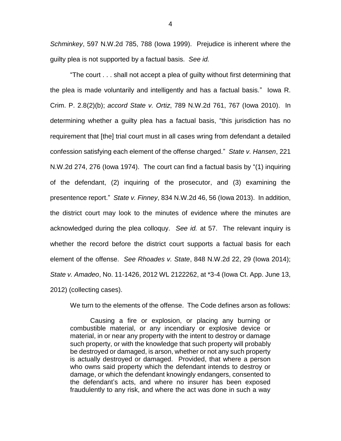*Schminkey*, 597 N.W.2d 785, 788 (Iowa 1999). Prejudice is inherent where the guilty plea is not supported by a factual basis. *See id.*

"The court . . . shall not accept a plea of guilty without first determining that the plea is made voluntarily and intelligently and has a factual basis." Iowa R. Crim. P. 2.8(2)(b); *accord State v. Ortiz*, 789 N.W.2d 761, 767 (Iowa 2010). In determining whether a guilty plea has a factual basis, "this jurisdiction has no requirement that [the] trial court must in all cases wring from defendant a detailed confession satisfying each element of the offense charged." *State v. Hansen*, 221 N.W.2d 274, 276 (Iowa 1974). The court can find a factual basis by "(1) inquiring of the defendant, (2) inquiring of the prosecutor, and (3) examining the presentence report." *State v. Finney*, 834 N.W.2d 46, 56 (Iowa 2013). In addition, the district court may look to the minutes of evidence where the minutes are acknowledged during the plea colloquy. *See id.* at 57. The relevant inquiry is whether the record before the district court supports a factual basis for each element of the offense. *See Rhoades v. State*, 848 N.W.2d 22, 29 (Iowa 2014); *State v. Amadeo*, No. 11-1426, 2012 WL 2122262, at \*3-4 (Iowa Ct. App. June 13, 2012) (collecting cases).

We turn to the elements of the offense. The Code defines arson as follows:

Causing a fire or explosion, or placing any burning or combustible material, or any incendiary or explosive device or material, in or near any property with the intent to destroy or damage such property, or with the knowledge that such property will probably be destroyed or damaged, is arson, whether or not any such property is actually destroyed or damaged. Provided, that where a person who owns said property which the defendant intends to destroy or damage, or which the defendant knowingly endangers, consented to the defendant's acts, and where no insurer has been exposed fraudulently to any risk, and where the act was done in such a way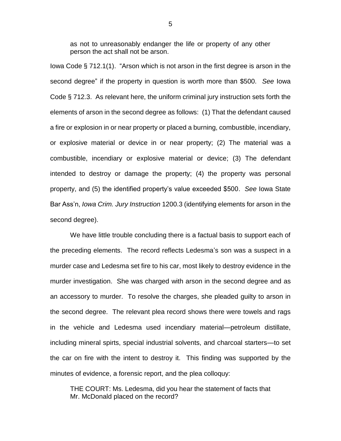as not to unreasonably endanger the life or property of any other person the act shall not be arson.

Iowa Code § 712.1(1). "Arson which is not arson in the first degree is arson in the second degree" if the property in question is worth more than \$500. *See* Iowa Code § 712.3. As relevant here, the uniform criminal jury instruction sets forth the elements of arson in the second degree as follows: (1) That the defendant caused a fire or explosion in or near property or placed a burning, combustible, incendiary, or explosive material or device in or near property; (2) The material was a combustible, incendiary or explosive material or device; (3) The defendant intended to destroy or damage the property; (4) the property was personal property, and (5) the identified property's value exceeded \$500. *See* Iowa State Bar Ass'n, *Iowa Crim. Jury Instruction* 1200.3 (identifying elements for arson in the second degree).

We have little trouble concluding there is a factual basis to support each of the preceding elements. The record reflects Ledesma's son was a suspect in a murder case and Ledesma set fire to his car, most likely to destroy evidence in the murder investigation. She was charged with arson in the second degree and as an accessory to murder. To resolve the charges, she pleaded guilty to arson in the second degree. The relevant plea record shows there were towels and rags in the vehicle and Ledesma used incendiary material—petroleum distillate, including mineral spirts, special industrial solvents, and charcoal starters—to set the car on fire with the intent to destroy it. This finding was supported by the minutes of evidence, a forensic report, and the plea colloquy:

THE COURT: Ms. Ledesma, did you hear the statement of facts that Mr. McDonald placed on the record?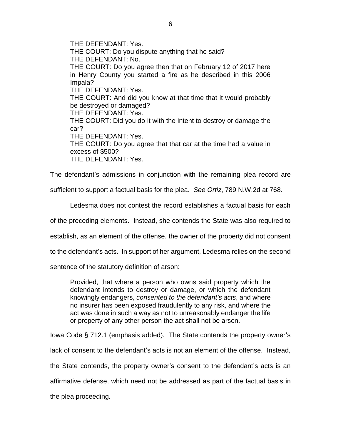THE DEFENDANT: Yes. THE COURT: Do you dispute anything that he said? THE DEFENDANT: No. THE COURT: Do you agree then that on February 12 of 2017 here in Henry County you started a fire as he described in this 2006 Impala? THE DEFENDANT: Yes. THE COURT: And did you know at that time that it would probably be destroyed or damaged? THE DEFENDANT: Yes. THE COURT: Did you do it with the intent to destroy or damage the car? THE DEFENDANT: Yes. THE COURT: Do you agree that that car at the time had a value in excess of \$500? THE DEFENDANT: Yes.

The defendant's admissions in conjunction with the remaining plea record are

sufficient to support a factual basis for the plea. *See Ortiz*, 789 N.W.2d at 768.

Ledesma does not contest the record establishes a factual basis for each

of the preceding elements. Instead, she contends the State was also required to

establish, as an element of the offense, the owner of the property did not consent

to the defendant's acts. In support of her argument, Ledesma relies on the second

sentence of the statutory definition of arson:

Provided, that where a person who owns said property which the defendant intends to destroy or damage, or which the defendant knowingly endangers, *consented to the defendant's acts*, and where no insurer has been exposed fraudulently to any risk, and where the act was done in such a way as not to unreasonably endanger the life or property of any other person the act shall not be arson.

Iowa Code § 712.1 (emphasis added). The State contends the property owner's lack of consent to the defendant's acts is not an element of the offense. Instead, the State contends, the property owner's consent to the defendant's acts is an affirmative defense, which need not be addressed as part of the factual basis in the plea proceeding.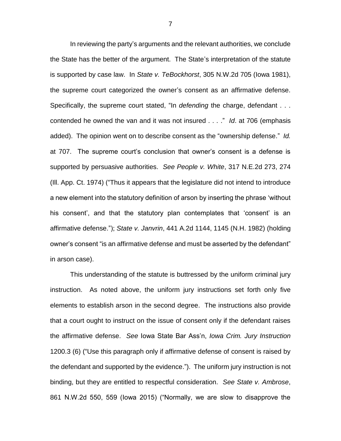In reviewing the party's arguments and the relevant authorities, we conclude the State has the better of the argument. The State's interpretation of the statute is supported by case law. In *State v. TeBockhorst*, 305 N.W.2d 705 (Iowa 1981), the supreme court categorized the owner's consent as an affirmative defense. Specifically, the supreme court stated, "In *defending* the charge, defendant . . . contended he owned the van and it was not insured . . . ." *Id*. at 706 (emphasis added). The opinion went on to describe consent as the "ownership defense." *Id.* at 707. The supreme court's conclusion that owner's consent is a defense is supported by persuasive authorities. *See People v. White*, 317 N.E.2d 273, 274 (Ill. App. Ct. 1974) ("Thus it appears that the legislature did not intend to introduce a new element into the statutory definition of arson by inserting the phrase 'without his consent', and that the statutory plan contemplates that 'consent' is an affirmative defense."); *State v. Janvrin*, 441 A.2d 1144, 1145 (N.H. 1982) (holding owner's consent "is an affirmative defense and must be asserted by the defendant" in arson case).

This understanding of the statute is buttressed by the uniform criminal jury instruction. As noted above, the uniform jury instructions set forth only five elements to establish arson in the second degree. The instructions also provide that a court ought to instruct on the issue of consent only if the defendant raises the affirmative defense. *See* Iowa State Bar Ass'n, *Iowa Crim. Jury Instruction* 1200.3 (6) ("Use this paragraph only if affirmative defense of consent is raised by the defendant and supported by the evidence."). The uniform jury instruction is not binding, but they are entitled to respectful consideration. *See State v. Ambrose*, 861 N.W.2d 550, 559 (Iowa 2015) ("Normally, we are slow to disapprove the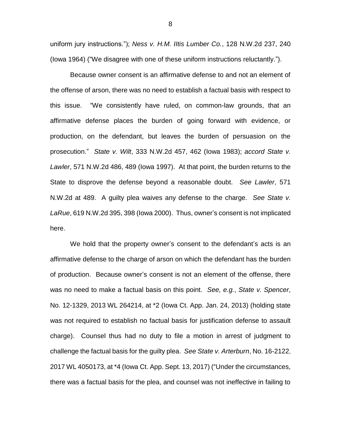uniform jury instructions."); *Ness v. H.M. IItis Lumber Co.*, 128 N.W.2d 237, 240 (Iowa 1964) ("We disagree with one of these uniform instructions reluctantly.").

Because owner consent is an affirmative defense to and not an element of the offense of arson, there was no need to establish a factual basis with respect to this issue. "We consistently have ruled, on common-law grounds, that an affirmative defense places the burden of going forward with evidence, or production, on the defendant, but leaves the burden of persuasion on the prosecution." *State v. Wilt*, 333 N.W.2d 457, 462 (Iowa 1983); *accord State v. Lawler*, 571 N.W.2d 486, 489 (Iowa 1997). At that point, the burden returns to the State to disprove the defense beyond a reasonable doubt. *See Lawler*, 571 N.W.2d at 489. A guilty plea waives any defense to the charge. *See State v. LaRue*, 619 N.W.2d 395, 398 (Iowa 2000). Thus, owner's consent is not implicated here.

We hold that the property owner's consent to the defendant's acts is an affirmative defense to the charge of arson on which the defendant has the burden of production. Because owner's consent is not an element of the offense, there was no need to make a factual basis on this point. *See, e.g.*, *State v. Spencer*, No. 12-1329, 2013 WL 264214, at \*2 (Iowa Ct. App. Jan. 24, 2013) (holding state was not required to establish no factual basis for justification defense to assault charge). Counsel thus had no duty to file a motion in arrest of judgment to challenge the factual basis for the guilty plea. *See State v. Arterburn*, No. 16-2122, 2017 WL 4050173, at \*4 (Iowa Ct. App. Sept. 13, 2017) ("Under the circumstances, there was a factual basis for the plea, and counsel was not ineffective in failing to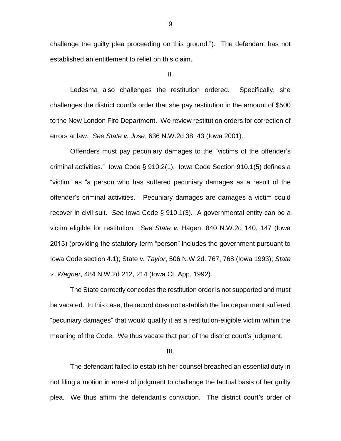challenge the guilty plea proceeding on this ground."). The defendant has not established an entitlement to relief on this claim.

II.

Ledesma also challenges the restitution ordered. Specifically, she challenges the district court's order that she pay restitution in the amount of \$500 to the New London Fire Department. We review restitution orders for correction of errors at law. *See State v. Jose*, 636 N.W.2d 38, 43 (Iowa 2001).

Offenders must pay pecuniary damages to the "victims of the offender's criminal activities." Iowa Code § 910.2(1). Iowa Code Section 910.1(5) defines a "victim" as "a person who has suffered pecuniary damages as a result of the offender's criminal activities." Pecuniary damages are damages a victim could recover in civil suit. *See* Iowa Code § 910.1(3). A governmental entity can be a victim eligible for restitution. *See State v.* Hagen, 840 N.W.2d 140, 147 (Iowa 2013) (providing the statutory term "person" includes the government pursuant to Iowa Code section 4.1); State *v. Taylor*, 506 N.W.2d. 767, 768 (Iowa 1993); *State v. Wagner*, 484 N.W.2d 212, 214 (Iowa Ct. App. 1992).

The State correctly concedes the restitution order is not supported and must be vacated. In this case, the record does not establish the fire department suffered "pecuniary damages" that would qualify it as a restitution-eligible victim within the meaning of the Code. We thus vacate that part of the district court's judgment.

III.

The defendant failed to establish her counsel breached an essential duty in not filing a motion in arrest of judgment to challenge the factual basis of her guilty plea. We thus affirm the defendant's conviction. The district court's order of